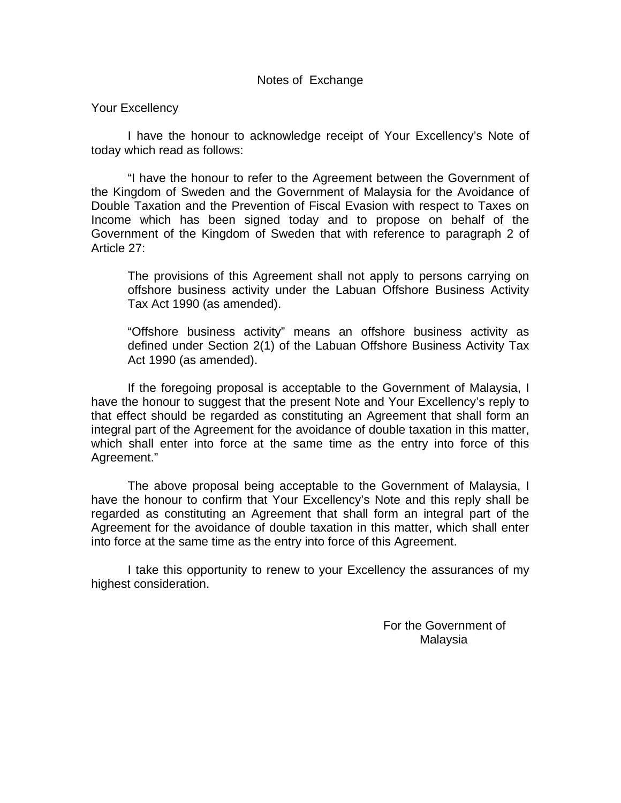## Notes of Exchange

## Your Excellency

I have the honour to acknowledge receipt of Your Excellency's Note of today which read as follows:

"I have the honour to refer to the Agreement between the Government of the Kingdom of Sweden and the Government of Malaysia for the Avoidance of Double Taxation and the Prevention of Fiscal Evasion with respect to Taxes on Income which has been signed today and to propose on behalf of the Government of the Kingdom of Sweden that with reference to paragraph 2 of Article 27:

The provisions of this Agreement shall not apply to persons carrying on offshore business activity under the Labuan Offshore Business Activity Tax Act 1990 (as amended).

"Offshore business activity" means an offshore business activity as defined under Section 2(1) of the Labuan Offshore Business Activity Tax Act 1990 (as amended).

If the foregoing proposal is acceptable to the Government of Malaysia, I have the honour to suggest that the present Note and Your Excellency's reply to that effect should be regarded as constituting an Agreement that shall form an integral part of the Agreement for the avoidance of double taxation in this matter, which shall enter into force at the same time as the entry into force of this Agreement."

The above proposal being acceptable to the Government of Malaysia, I have the honour to confirm that Your Excellency's Note and this reply shall be regarded as constituting an Agreement that shall form an integral part of the Agreement for the avoidance of double taxation in this matter, which shall enter into force at the same time as the entry into force of this Agreement.

I take this opportunity to renew to your Excellency the assurances of my highest consideration.

> For the Government of Malaysia